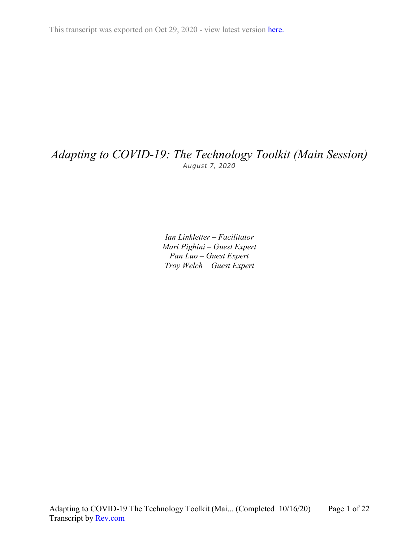This transcript was exported on Oct 29, 2020 - view latest version [here.](https://www.rev.com/transcript-editor/Edit?token=hn1t1yv3wrl4LTVxb8q27_CXJCUqymDsl0S0V-LPu9inEHjP8m4eZttfVq-BG9Lm7D6t1zSezHvHLFor_Z2Y5RfAEag&loadFrom=DocumentHeaderDeepLink)

# *Adapting to COVID-19: The Technology Toolkit (Main Session) August 7, 2020*

*Ian Linkletter – Facilitator Mari Pighini – Guest Expert Pan Luo – Guest Expert Troy Welch – Guest Expert*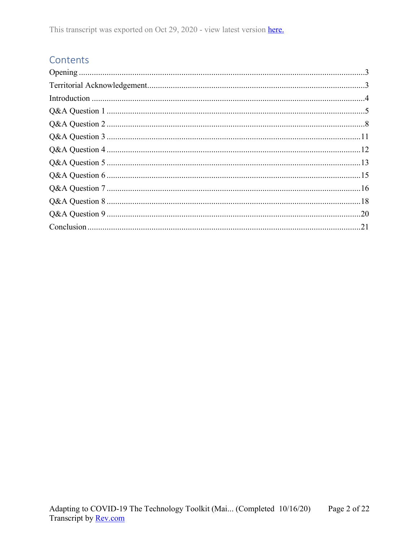## Contents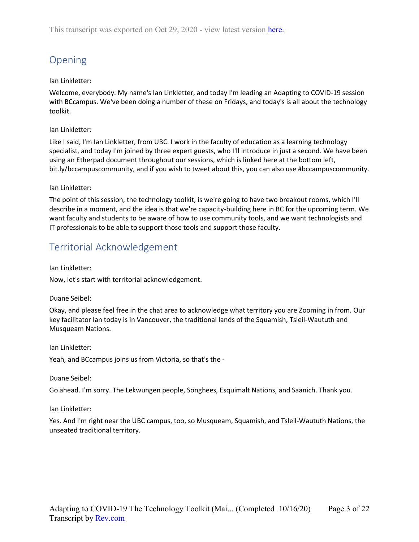# <span id="page-2-0"></span>Opening

## Ian Linkletter:

Welcome, everybody. My name's Ian Linkletter, and today I'm leading an Adapting to COVID-19 session with BCcampus. We've been doing a number of these on Fridays, and today's is all about the technology toolkit.

## Ian Linkletter:

Like I said, I'm Ian Linkletter, from UBC. I work in the faculty of education as a learning technology specialist, and today I'm joined by three expert guests, who I'll introduce in just a second. We have been using an Etherpad document throughout our sessions, which is linked here at the bottom left, bit.ly/bccampuscommunity, and if you wish to tweet about this, you can also use #bccampuscommunity.

## Ian Linkletter:

The point of this session, the technology toolkit, is we're going to have two breakout rooms, which I'll describe in a moment, and the idea is that we're capacity-building here in BC for the upcoming term. We want faculty and students to be aware of how to use community tools, and we want technologists and IT professionals to be able to support those tools and support those faculty.

## <span id="page-2-1"></span>Territorial Acknowledgement

Ian Linkletter:

Now, let's start with territorial acknowledgement.

## Duane Seibel:

Okay, and please feel free in the chat area to acknowledge what territory you are Zooming in from. Our key facilitator Ian today is in Vancouver, the traditional lands of the Squamish, Tsleil-Waututh and Musqueam Nations.

Ian Linkletter:

Yeah, and BCcampus joins us from Victoria, so that's the -

Duane Seibel:

Go ahead. I'm sorry. The Lekwungen people, Songhees, Esquimalt Nations, and Saanich. Thank you.

Ian Linkletter:

Yes. And I'm right near the UBC campus, too, so Musqueam, Squamish, and Tsleil-Waututh Nations, the unseated traditional territory.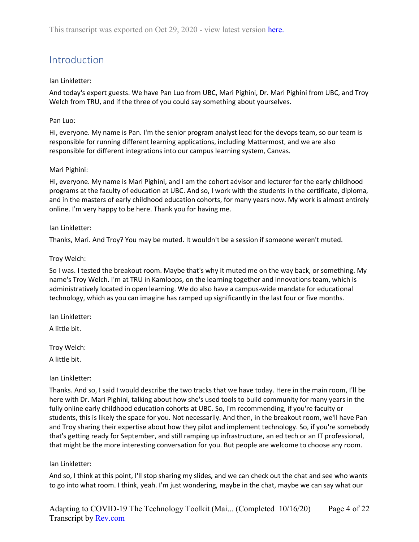# <span id="page-3-0"></span>Introduction

## Ian Linkletter:

And today's expert guests. We have Pan Luo from UBC, Mari Pighini, Dr. Mari Pighini from UBC, and Troy Welch from TRU, and if the three of you could say something about yourselves.

## Pan Luo:

Hi, everyone. My name is Pan. I'm the senior program analyst lead for the devops team, so our team is responsible for running different learning applications, including Mattermost, and we are also responsible for different integrations into our campus learning system, Canvas.

## Mari Pighini:

Hi, everyone. My name is Mari Pighini, and I am the cohort advisor and lecturer for the early childhood programs at the faculty of education at UBC. And so, I work with the students in the certificate, diploma, and in the masters of early childhood education cohorts, for many years now. My work is almost entirely online. I'm very happy to be here. Thank you for having me.

## Ian Linkletter:

Thanks, Mari. And Troy? You may be muted. It wouldn't be a session if someone weren't muted.

## Troy Welch:

So I was. I tested the breakout room. Maybe that's why it muted me on the way back, or something. My name's Troy Welch. I'm at TRU in Kamloops, on the learning together and innovations team, which is administratively located in open learning. We do also have a campus-wide mandate for educational technology, which as you can imagine has ramped up significantly in the last four or five months.

Ian Linkletter:

A little bit.

Troy Welch:

A little bit.

## Ian Linkletter:

Thanks. And so, I said I would describe the two tracks that we have today. Here in the main room, I'll be here with Dr. Mari Pighini, talking about how she's used tools to build community for many years in the fully online early childhood education cohorts at UBC. So, I'm recommending, if you're faculty or students, this is likely the space for you. Not necessarily. And then, in the breakout room, we'll have Pan and Troy sharing their expertise about how they pilot and implement technology. So, if you're somebody that's getting ready for September, and still ramping up infrastructure, an ed tech or an IT professional, that might be the more interesting conversation for you. But people are welcome to choose any room.

## Ian Linkletter:

And so, I think at this point, I'll stop sharing my slides, and we can check out the chat and see who wants to go into what room. I think, yeah. I'm just wondering, maybe in the chat, maybe we can say what our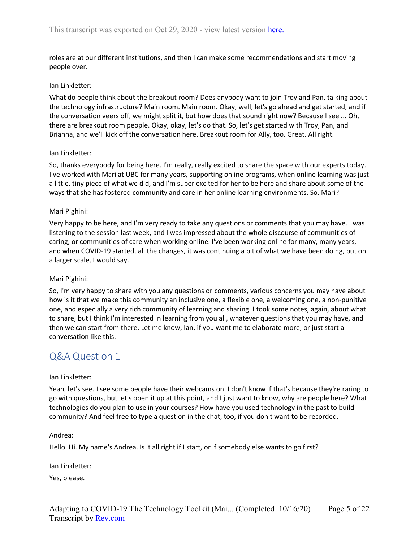roles are at our different institutions, and then I can make some recommendations and start moving people over.

## Ian Linkletter:

What do people think about the breakout room? Does anybody want to join Troy and Pan, talking about the technology infrastructure? Main room. Main room. Okay, well, let's go ahead and get started, and if the conversation veers off, we might split it, but how does that sound right now? Because I see ... Oh, there are breakout room people. Okay, okay, let's do that. So, let's get started with Troy, Pan, and Brianna, and we'll kick off the conversation here. Breakout room for Ally, too. Great. All right.

## Ian Linkletter:

So, thanks everybody for being here. I'm really, really excited to share the space with our experts today. I've worked with Mari at UBC for many years, supporting online programs, when online learning was just a little, tiny piece of what we did, and I'm super excited for her to be here and share about some of the ways that she has fostered community and care in her online learning environments. So, Mari?

## Mari Pighini:

Very happy to be here, and I'm very ready to take any questions or comments that you may have. I was listening to the session last week, and I was impressed about the whole discourse of communities of caring, or communities of care when working online. I've been working online for many, many years, and when COVID-19 started, all the changes, it was continuing a bit of what we have been doing, but on a larger scale, I would say.

## Mari Pighini:

So, I'm very happy to share with you any questions or comments, various concerns you may have about how is it that we make this community an inclusive one, a flexible one, a welcoming one, a non-punitive one, and especially a very rich community of learning and sharing. I took some notes, again, about what to share, but I think I'm interested in learning from you all, whatever questions that you may have, and then we can start from there. Let me know, Ian, if you want me to elaborate more, or just start a conversation like this.

## <span id="page-4-0"></span>Q&A Question 1

## Ian Linkletter:

Yeah, let's see. I see some people have their webcams on. I don't know if that's because they're raring to go with questions, but let's open it up at this point, and I just want to know, why are people here? What technologies do you plan to use in your courses? How have you used technology in the past to build community? And feel free to type a question in the chat, too, if you don't want to be recorded.

## Andrea:

Hello. Hi. My name's Andrea. Is it all right if I start, or if somebody else wants to go first?

Ian Linkletter:

Yes, please.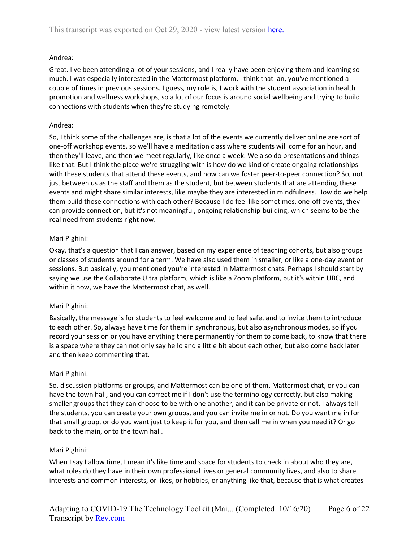## Andrea:

Great. I've been attending a lot of your sessions, and I really have been enjoying them and learning so much. I was especially interested in the Mattermost platform, I think that Ian, you've mentioned a couple of times in previous sessions. I guess, my role is, I work with the student association in health promotion and wellness workshops, so a lot of our focus is around social wellbeing and trying to build connections with students when they're studying remotely.

## Andrea:

So, I think some of the challenges are, is that a lot of the events we currently deliver online are sort of one-off workshop events, so we'll have a meditation class where students will come for an hour, and then they'll leave, and then we meet regularly, like once a week. We also do presentations and things like that. But I think the place we're struggling with is how do we kind of create ongoing relationships with these students that attend these events, and how can we foster peer-to-peer connection? So, not just between us as the staff and them as the student, but between students that are attending these events and might share similar interests, like maybe they are interested in mindfulness. How do we help them build those connections with each other? Because I do feel like sometimes, one-off events, they can provide connection, but it's not meaningful, ongoing relationship-building, which seems to be the real need from students right now.

## Mari Pighini:

Okay, that's a question that I can answer, based on my experience of teaching cohorts, but also groups or classes of students around for a term. We have also used them in smaller, or like a one-day event or sessions. But basically, you mentioned you're interested in Mattermost chats. Perhaps I should start by saying we use the Collaborate Ultra platform, which is like a Zoom platform, but it's within UBC, and within it now, we have the Mattermost chat, as well.

## Mari Pighini:

Basically, the message is for students to feel welcome and to feel safe, and to invite them to introduce to each other. So, always have time for them in synchronous, but also asynchronous modes, so if you record your session or you have anything there permanently for them to come back, to know that there is a space where they can not only say hello and a little bit about each other, but also come back later and then keep commenting that.

## Mari Pighini:

So, discussion platforms or groups, and Mattermost can be one of them, Mattermost chat, or you can have the town hall, and you can correct me if I don't use the terminology correctly, but also making smaller groups that they can choose to be with one another, and it can be private or not. I always tell the students, you can create your own groups, and you can invite me in or not. Do you want me in for that small group, or do you want just to keep it for you, and then call me in when you need it? Or go back to the main, or to the town hall.

## Mari Pighini:

When I say I allow time, I mean it's like time and space for students to check in about who they are, what roles do they have in their own professional lives or general community lives, and also to share interests and common interests, or likes, or hobbies, or anything like that, because that is what creates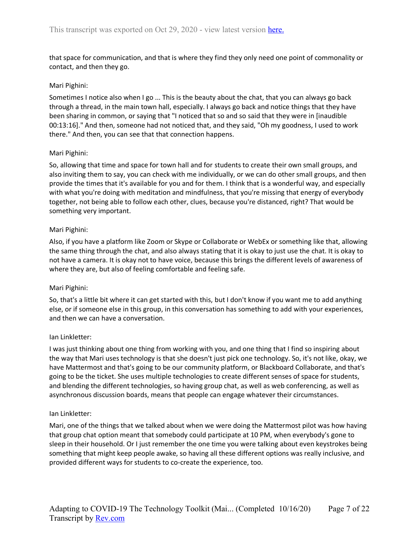that space for communication, and that is where they find they only need one point of commonality or contact, and then they go.

## Mari Pighini:

Sometimes I notice also when I go ... This is the beauty about the chat, that you can always go back through a thread, in the main town hall, especially. I always go back and notice things that they have been sharing in common, or saying that "I noticed that so and so said that they were in [inaudible 00:13:16]." And then, someone had not noticed that, and they said, "Oh my goodness, I used to work there." And then, you can see that that connection happens.

## Mari Pighini:

So, allowing that time and space for town hall and for students to create their own small groups, and also inviting them to say, you can check with me individually, or we can do other small groups, and then provide the times that it's available for you and for them. I think that is a wonderful way, and especially with what you're doing with meditation and mindfulness, that you're missing that energy of everybody together, not being able to follow each other, clues, because you're distanced, right? That would be something very important.

## Mari Pighini:

Also, if you have a platform like Zoom or Skype or Collaborate or WebEx or something like that, allowing the same thing through the chat, and also always stating that it is okay to just use the chat. It is okay to not have a camera. It is okay not to have voice, because this brings the different levels of awareness of where they are, but also of feeling comfortable and feeling safe.

## Mari Pighini:

So, that's a little bit where it can get started with this, but I don't know if you want me to add anything else, or if someone else in this group, in this conversation has something to add with your experiences, and then we can have a conversation.

## Ian Linkletter:

I was just thinking about one thing from working with you, and one thing that I find so inspiring about the way that Mari uses technology is that she doesn't just pick one technology. So, it's not like, okay, we have Mattermost and that's going to be our community platform, or Blackboard Collaborate, and that's going to be the ticket. She uses multiple technologies to create different senses of space for students, and blending the different technologies, so having group chat, as well as web conferencing, as well as asynchronous discussion boards, means that people can engage whatever their circumstances.

## Ian Linkletter:

Mari, one of the things that we talked about when we were doing the Mattermost pilot was how having that group chat option meant that somebody could participate at 10 PM, when everybody's gone to sleep in their household. Or I just remember the one time you were talking about even keystrokes being something that might keep people awake, so having all these different options was really inclusive, and provided different ways for students to co-create the experience, too.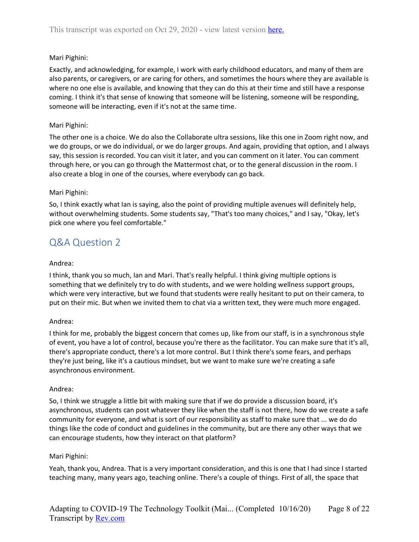## Mari Pighini:

Exactly, and acknowledging, for example, I work with early childhood educators, and many of them are also parents, or caregivers, or are caring for others, and sometimes the hours where they are available is where no one else is available, and knowing that they can do this at their time and still have a response coming. I think it's that sense of knowing that someone will be listening, someone will be responding, someone will be interacting, even if it's not at the same time.

## Mari Pighini:

The other one is a choice. We do also the Collaborate ultra sessions, like this one in Zoom right now, and we do groups, or we do individual, or we do larger groups. And again, providing that option, and I always say, this session is recorded. You can visit it later, and you can comment on it later. You can comment through here, or you can go through the Mattermost chat, or to the general discussion in the room. I also create a blog in one of the courses, where everybody can go back.

## Mari Pighini:

So, I think exactly what Ian is saying, also the point of providing multiple avenues will definitely help, without overwhelming students. Some students say, "That's too many choices," and I say, "Okay, let's pick one where you feel comfortable."

## <span id="page-7-0"></span>Q&A Question 2

## Andrea:

I think, thank you so much, Ian and Mari. That's really helpful. I think giving multiple options is something that we definitely try to do with students, and we were holding wellness support groups, which were very interactive, but we found that students were really hesitant to put on their camera, to put on their mic. But when we invited them to chat via a written text, they were much more engaged.

## Andrea:

I think for me, probably the biggest concern that comes up, like from our staff, is in a synchronous style of event, you have a lot of control, because you're there as the facilitator. You can make sure that it's all, there's appropriate conduct, there's a lot more control. But I think there's some fears, and perhaps they're just being, like it's a cautious mindset, but we want to make sure we're creating a safe asynchronous environment.

## Andrea:

So, I think we struggle a little bit with making sure that if we do provide a discussion board, it's asynchronous, students can post whatever they like when the staff is not there, how do we create a safe community for everyone, and what is sort of our responsibility as staff to make sure that ... we do do things like the code of conduct and guidelines in the community, but are there any other ways that we can encourage students, how they interact on that platform?

## Mari Pighini:

Yeah, thank you, Andrea. That is a very important consideration, and this is one that I had since I started teaching many, many years ago, teaching online. There's a couple of things. First of all, the space that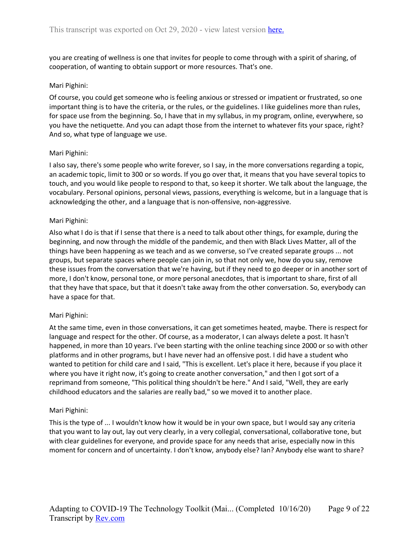you are creating of wellness is one that invites for people to come through with a spirit of sharing, of cooperation, of wanting to obtain support or more resources. That's one.

## Mari Pighini:

Of course, you could get someone who is feeling anxious or stressed or impatient or frustrated, so one important thing is to have the criteria, or the rules, or the guidelines. I like guidelines more than rules, for space use from the beginning. So, I have that in my syllabus, in my program, online, everywhere, so you have the netiquette. And you can adapt those from the internet to whatever fits your space, right? And so, what type of language we use.

#### Mari Pighini:

I also say, there's some people who write forever, so I say, in the more conversations regarding a topic, an academic topic, limit to 300 or so words. If you go over that, it means that you have several topics to touch, and you would like people to respond to that, so keep it shorter. We talk about the language, the vocabulary. Personal opinions, personal views, passions, everything is welcome, but in a language that is acknowledging the other, and a language that is non-offensive, non-aggressive.

#### Mari Pighini:

Also what I do is that if I sense that there is a need to talk about other things, for example, during the beginning, and now through the middle of the pandemic, and then with Black Lives Matter, all of the things have been happening as we teach and as we converse, so I've created separate groups ... not groups, but separate spaces where people can join in, so that not only we, how do you say, remove these issues from the conversation that we're having, but if they need to go deeper or in another sort of more, I don't know, personal tone, or more personal anecdotes, that is important to share, first of all that they have that space, but that it doesn't take away from the other conversation. So, everybody can have a space for that.

#### Mari Pighini:

At the same time, even in those conversations, it can get sometimes heated, maybe. There is respect for language and respect for the other. Of course, as a moderator, I can always delete a post. It hasn't happened, in more than 10 years. I've been starting with the online teaching since 2000 or so with other platforms and in other programs, but I have never had an offensive post. I did have a student who wanted to petition for child care and I said, "This is excellent. Let's place it here, because if you place it where you have it right now, it's going to create another conversation," and then I got sort of a reprimand from someone, "This political thing shouldn't be here." And I said, "Well, they are early childhood educators and the salaries are really bad," so we moved it to another place.

#### Mari Pighini:

This is the type of ... I wouldn't know how it would be in your own space, but I would say any criteria that you want to lay out, lay out very clearly, in a very collegial, conversational, collaborative tone, but with clear guidelines for everyone, and provide space for any needs that arise, especially now in this moment for concern and of uncertainty. I don't know, anybody else? Ian? Anybody else want to share?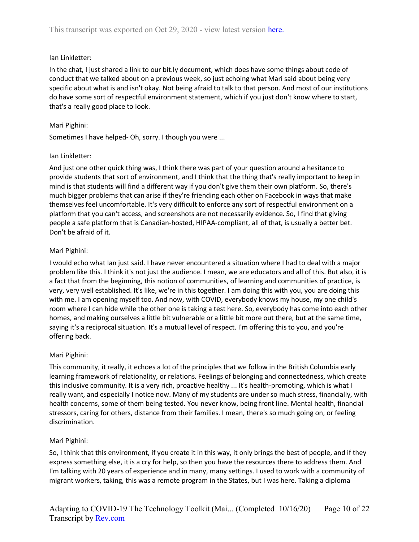## Ian Linkletter:

In the chat, I just shared a link to our bit.ly document, which does have some things about code of conduct that we talked about on a previous week, so just echoing what Mari said about being very specific about what is and isn't okay. Not being afraid to talk to that person. And most of our institutions do have some sort of respectful environment statement, which if you just don't know where to start, that's a really good place to look.

## Mari Pighini:

Sometimes I have helped- Oh, sorry. I though you were ...

## Ian Linkletter:

And just one other quick thing was, I think there was part of your question around a hesitance to provide students that sort of environment, and I think that the thing that's really important to keep in mind is that students will find a different way if you don't give them their own platform. So, there's much bigger problems that can arise if they're friending each other on Facebook in ways that make themselves feel uncomfortable. It's very difficult to enforce any sort of respectful environment on a platform that you can't access, and screenshots are not necessarily evidence. So, I find that giving people a safe platform that is Canadian-hosted, HIPAA-compliant, all of that, is usually a better bet. Don't be afraid of it.

## Mari Pighini:

I would echo what Ian just said. I have never encountered a situation where I had to deal with a major problem like this. I think it's not just the audience. I mean, we are educators and all of this. But also, it is a fact that from the beginning, this notion of communities, of learning and communities of practice, is very, very well established. It's like, we're in this together. I am doing this with you, you are doing this with me. I am opening myself too. And now, with COVID, everybody knows my house, my one child's room where I can hide while the other one is taking a test here. So, everybody has come into each other homes, and making ourselves a little bit vulnerable or a little bit more out there, but at the same time, saying it's a reciprocal situation. It's a mutual level of respect. I'm offering this to you, and you're offering back.

## Mari Pighini:

This community, it really, it echoes a lot of the principles that we follow in the British Columbia early learning framework of relationality, or relations. Feelings of belonging and connectedness, which create this inclusive community. It is a very rich, proactive healthy ... It's health-promoting, which is what I really want, and especially I notice now. Many of my students are under so much stress, financially, with health concerns, some of them being tested. You never know, being front line. Mental health, financial stressors, caring for others, distance from their families. I mean, there's so much going on, or feeling discrimination.

## Mari Pighini:

So, I think that this environment, if you create it in this way, it only brings the best of people, and if they express something else, it is a cry for help, so then you have the resources there to address them. And I'm talking with 20 years of experience and in many, many settings. I used to work with a community of migrant workers, taking, this was a remote program in the States, but I was here. Taking a diploma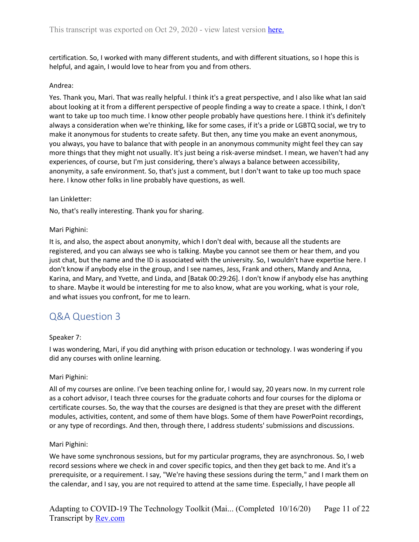certification. So, I worked with many different students, and with different situations, so I hope this is helpful, and again, I would love to hear from you and from others.

## Andrea:

Yes. Thank you, Mari. That was really helpful. I think it's a great perspective, and I also like what Ian said about looking at it from a different perspective of people finding a way to create a space. I think, I don't want to take up too much time. I know other people probably have questions here. I think it's definitely always a consideration when we're thinking, like for some cases, if it's a pride or LGBTQ social, we try to make it anonymous for students to create safety. But then, any time you make an event anonymous, you always, you have to balance that with people in an anonymous community might feel they can say more things that they might not usually. It's just being a risk-averse mindset. I mean, we haven't had any experiences, of course, but I'm just considering, there's always a balance between accessibility, anonymity, a safe environment. So, that's just a comment, but I don't want to take up too much space here. I know other folks in line probably have questions, as well.

## Ian Linkletter:

No, that's really interesting. Thank you for sharing.

## Mari Pighini:

It is, and also, the aspect about anonymity, which I don't deal with, because all the students are registered, and you can always see who is talking. Maybe you cannot see them or hear them, and you just chat, but the name and the ID is associated with the university. So, I wouldn't have expertise here. I don't know if anybody else in the group, and I see names, Jess, Frank and others, Mandy and Anna, Karina, and Mary, and Yvette, and Linda, and [Batak 00:29:26]. I don't know if anybody else has anything to share. Maybe it would be interesting for me to also know, what are you working, what is your role, and what issues you confront, for me to learn.

## <span id="page-10-0"></span>Q&A Question 3

## Speaker 7:

I was wondering, Mari, if you did anything with prison education or technology. I was wondering if you did any courses with online learning.

## Mari Pighini:

All of my courses are online. I've been teaching online for, I would say, 20 years now. In my current role as a cohort advisor, I teach three courses for the graduate cohorts and four courses for the diploma or certificate courses. So, the way that the courses are designed is that they are preset with the different modules, activities, content, and some of them have blogs. Some of them have PowerPoint recordings, or any type of recordings. And then, through there, I address students' submissions and discussions.

## Mari Pighini:

We have some synchronous sessions, but for my particular programs, they are asynchronous. So, I web record sessions where we check in and cover specific topics, and then they get back to me. And it's a prerequisite, or a requirement. I say, "We're having these sessions during the term," and I mark them on the calendar, and I say, you are not required to attend at the same time. Especially, I have people all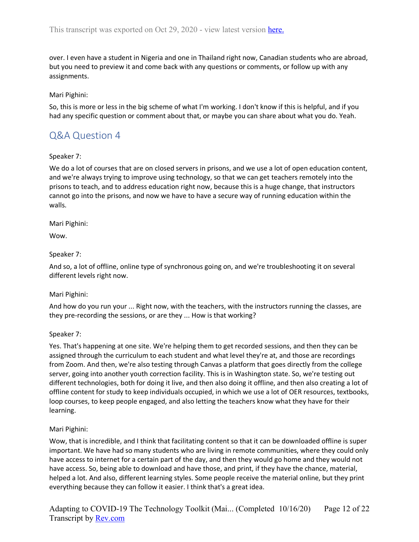over. I even have a student in Nigeria and one in Thailand right now, Canadian students who are abroad, but you need to preview it and come back with any questions or comments, or follow up with any assignments.

## Mari Pighini:

So, this is more or less in the big scheme of what I'm working. I don't know if this is helpful, and if you had any specific question or comment about that, or maybe you can share about what you do. Yeah.

## <span id="page-11-0"></span>Q&A Question 4

## Speaker 7:

We do a lot of courses that are on closed servers in prisons, and we use a lot of open education content, and we're always trying to improve using technology, so that we can get teachers remotely into the prisons to teach, and to address education right now, because this is a huge change, that instructors cannot go into the prisons, and now we have to have a secure way of running education within the walls.

Mari Pighini:

Wow.

## Speaker 7:

And so, a lot of offline, online type of synchronous going on, and we're troubleshooting it on several different levels right now.

## Mari Pighini:

And how do you run your ... Right now, with the teachers, with the instructors running the classes, are they pre-recording the sessions, or are they ... How is that working?

## Speaker 7:

Yes. That's happening at one site. We're helping them to get recorded sessions, and then they can be assigned through the curriculum to each student and what level they're at, and those are recordings from Zoom. And then, we're also testing through Canvas a platform that goes directly from the college server, going into another youth correction facility. This is in Washington state. So, we're testing out different technologies, both for doing it live, and then also doing it offline, and then also creating a lot of offline content for study to keep individuals occupied, in which we use a lot of OER resources, textbooks, loop courses, to keep people engaged, and also letting the teachers know what they have for their learning.

## Mari Pighini:

Wow, that is incredible, and I think that facilitating content so that it can be downloaded offline is super important. We have had so many students who are living in remote communities, where they could only have access to internet for a certain part of the day, and then they would go home and they would not have access. So, being able to download and have those, and print, if they have the chance, material, helped a lot. And also, different learning styles. Some people receive the material online, but they print everything because they can follow it easier. I think that's a great idea.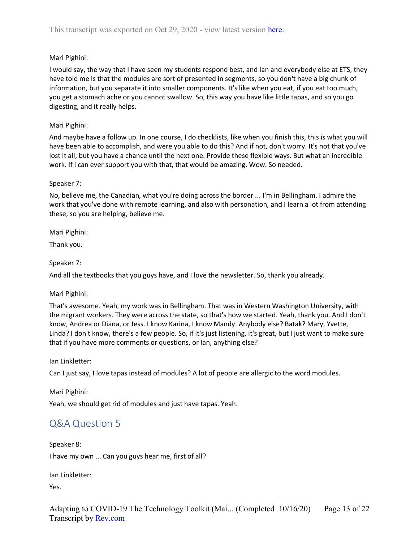## Mari Pighini:

I would say, the way that I have seen my students respond best, and Ian and everybody else at ETS, they have told me is that the modules are sort of presented in segments, so you don't have a big chunk of information, but you separate it into smaller components. It's like when you eat, if you eat too much, you get a stomach ache or you cannot swallow. So, this way you have like little tapas, and so you go digesting, and it really helps.

## Mari Pighini:

And maybe have a follow up. In one course, I do checklists, like when you finish this, this is what you will have been able to accomplish, and were you able to do this? And if not, don't worry. It's not that you've lost it all, but you have a chance until the next one. Provide these flexible ways. But what an incredible work. If I can ever support you with that, that would be amazing. Wow. So needed.

## Speaker 7:

No, believe me, the Canadian, what you're doing across the border ... I'm in Bellingham. I admire the work that you've done with remote learning, and also with personation, and I learn a lot from attending these, so you are helping, believe me.

Mari Pighini:

Thank you.

Speaker 7:

And all the textbooks that you guys have, and I love the newsletter. So, thank you already.

## Mari Pighini:

That's awesome. Yeah, my work was in Bellingham. That was in Western Washington University, with the migrant workers. They were across the state, so that's how we started. Yeah, thank you. And I don't know, Andrea or Diana, or Jess. I know Karina, I know Mandy. Anybody else? Batak? Mary, Yvette, Linda? I don't know, there's a few people. So, if it's just listening, it's great, but I just want to make sure that if you have more comments or questions, or Ian, anything else?

Ian Linkletter:

Can I just say, I love tapas instead of modules? A lot of people are allergic to the word modules.

Mari Pighini:

<span id="page-12-0"></span>Yeah, we should get rid of modules and just have tapas. Yeah.

## Q&A Question 5

Speaker 8: I have my own ... Can you guys hear me, first of all?

Ian Linkletter:

Yes.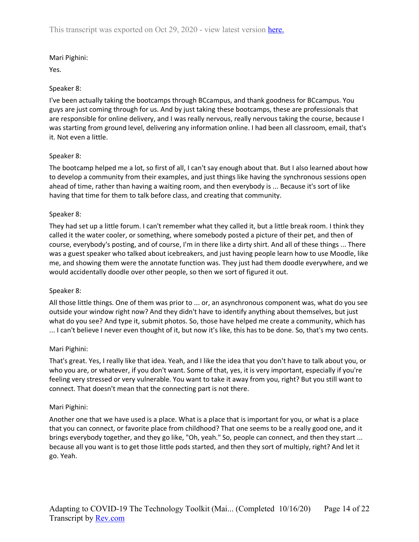## Mari Pighini:

Yes.

## Speaker 8:

I've been actually taking the bootcamps through BCcampus, and thank goodness for BCcampus. You guys are just coming through for us. And by just taking these bootcamps, these are professionals that are responsible for online delivery, and I was really nervous, really nervous taking the course, because I was starting from ground level, delivering any information online. I had been all classroom, email, that's it. Not even a little.

## Speaker 8:

The bootcamp helped me a lot, so first of all, I can't say enough about that. But I also learned about how to develop a community from their examples, and just things like having the synchronous sessions open ahead of time, rather than having a waiting room, and then everybody is ... Because it's sort of like having that time for them to talk before class, and creating that community.

## Speaker 8:

They had set up a little forum. I can't remember what they called it, but a little break room. I think they called it the water cooler, or something, where somebody posted a picture of their pet, and then of course, everybody's posting, and of course, I'm in there like a dirty shirt. And all of these things ... There was a guest speaker who talked about icebreakers, and just having people learn how to use Moodle, like me, and showing them were the annotate function was. They just had them doodle everywhere, and we would accidentally doodle over other people, so then we sort of figured it out.

## Speaker 8:

All those little things. One of them was prior to ... or, an asynchronous component was, what do you see outside your window right now? And they didn't have to identify anything about themselves, but just what do you see? And type it, submit photos. So, those have helped me create a community, which has ... I can't believe I never even thought of it, but now it's like, this has to be done. So, that's my two cents.

## Mari Pighini:

That's great. Yes, I really like that idea. Yeah, and I like the idea that you don't have to talk about you, or who you are, or whatever, if you don't want. Some of that, yes, it is very important, especially if you're feeling very stressed or very vulnerable. You want to take it away from you, right? But you still want to connect. That doesn't mean that the connecting part is not there.

## Mari Pighini:

Another one that we have used is a place. What is a place that is important for you, or what is a place that you can connect, or favorite place from childhood? That one seems to be a really good one, and it brings everybody together, and they go like, "Oh, yeah." So, people can connect, and then they start ... because all you want is to get those little pods started, and then they sort of multiply, right? And let it go. Yeah.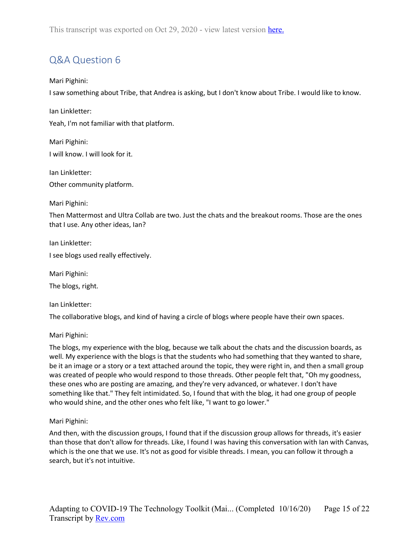# <span id="page-14-0"></span>Q&A Question 6

## Mari Pighini:

I saw something about Tribe, that Andrea is asking, but I don't know about Tribe. I would like to know.

Ian Linkletter: Yeah, I'm not familiar with that platform.

Mari Pighini: I will know. I will look for it.

Ian Linkletter: Other community platform.

Mari Pighini:

Then Mattermost and Ultra Collab are two. Just the chats and the breakout rooms. Those are the ones that I use. Any other ideas, Ian?

Ian Linkletter:

I see blogs used really effectively.

Mari Pighini: The blogs, right.

Ian Linkletter:

The collaborative blogs, and kind of having a circle of blogs where people have their own spaces.

## Mari Pighini:

The blogs, my experience with the blog, because we talk about the chats and the discussion boards, as well. My experience with the blogs is that the students who had something that they wanted to share, be it an image or a story or a text attached around the topic, they were right in, and then a small group was created of people who would respond to those threads. Other people felt that, "Oh my goodness, these ones who are posting are amazing, and they're very advanced, or whatever. I don't have something like that." They felt intimidated. So, I found that with the blog, it had one group of people who would shine, and the other ones who felt like, "I want to go lower."

Mari Pighini:

And then, with the discussion groups, I found that if the discussion group allows for threads, it's easier than those that don't allow for threads. Like, I found I was having this conversation with Ian with Canvas, which is the one that we use. It's not as good for visible threads. I mean, you can follow it through a search, but it's not intuitive.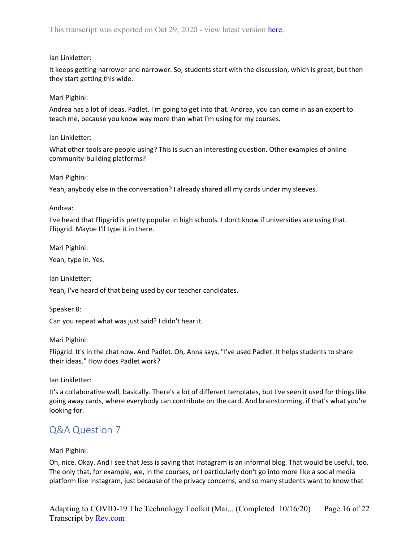## Ian Linkletter:

It keeps getting narrower and narrower. So, students start with the discussion, which is great, but then they start getting this wide.

## Mari Pighini:

Andrea has a lot of ideas. Padlet. I'm going to get into that. Andrea, you can come in as an expert to teach me, because you know way more than what I'm using for my courses.

## Ian Linkletter:

What other tools are people using? This is such an interesting question. Other examples of online community-building platforms?

## Mari Pighini:

Yeah, anybody else in the conversation? I already shared all my cards under my sleeves.

## Andrea:

I've heard that Flipgrid is pretty popular in high schools. I don't know if universities are using that. Flipgrid. Maybe I'll type it in there.

Mari Pighini:

Yeah, type in. Yes.

Ian Linkletter:

Yeah, I've heard of that being used by our teacher candidates.

Speaker 8:

Can you repeat what was just said? I didn't hear it.

Mari Pighini:

Flipgrid. It's in the chat now. And Padlet. Oh, Anna says, "I've used Padlet. It helps students to share their ideas." How does Padlet work?

Ian Linkletter:

It's a collaborative wall, basically. There's a lot of different templates, but I've seen it used for things like going away cards, where everybody can contribute on the card. And brainstorming, if that's what you're looking for.

## <span id="page-15-0"></span>Q&A Question 7

## Mari Pighini:

Oh, nice. Okay. And I see that Jess is saying that Instagram is an informal blog. That would be useful, too. The only that, for example, we, in the courses, or I particularly don't go into more like a social media platform like Instagram, just because of the privacy concerns, and so many students want to know that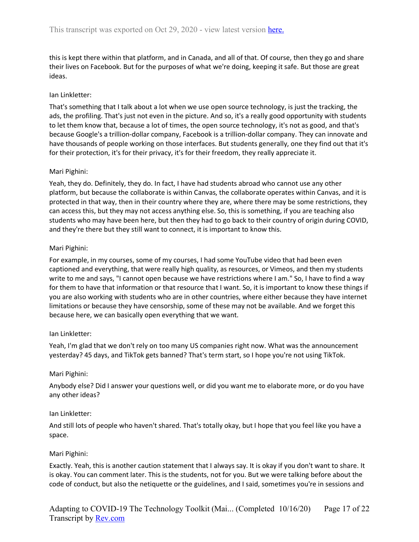this is kept there within that platform, and in Canada, and all of that. Of course, then they go and share their lives on Facebook. But for the purposes of what we're doing, keeping it safe. But those are great ideas.

## Ian Linkletter:

That's something that I talk about a lot when we use open source technology, is just the tracking, the ads, the profiling. That's just not even in the picture. And so, it's a really good opportunity with students to let them know that, because a lot of times, the open source technology, it's not as good, and that's because Google's a trillion-dollar company, Facebook is a trillion-dollar company. They can innovate and have thousands of people working on those interfaces. But students generally, one they find out that it's for their protection, it's for their privacy, it's for their freedom, they really appreciate it.

## Mari Pighini:

Yeah, they do. Definitely, they do. In fact, I have had students abroad who cannot use any other platform, but because the collaborate is within Canvas, the collaborate operates within Canvas, and it is protected in that way, then in their country where they are, where there may be some restrictions, they can access this, but they may not access anything else. So, this is something, if you are teaching also students who may have been here, but then they had to go back to their country of origin during COVID, and they're there but they still want to connect, it is important to know this.

## Mari Pighini:

For example, in my courses, some of my courses, I had some YouTube video that had been even captioned and everything, that were really high quality, as resources, or Vimeos, and then my students write to me and says, "I cannot open because we have restrictions where I am." So, I have to find a way for them to have that information or that resource that I want. So, it is important to know these things if you are also working with students who are in other countries, where either because they have internet limitations or because they have censorship, some of these may not be available. And we forget this because here, we can basically open everything that we want.

## Ian Linkletter:

Yeah, I'm glad that we don't rely on too many US companies right now. What was the announcement yesterday? 45 days, and TikTok gets banned? That's term start, so I hope you're not using TikTok.

## Mari Pighini:

Anybody else? Did I answer your questions well, or did you want me to elaborate more, or do you have any other ideas?

## Ian Linkletter:

And still lots of people who haven't shared. That's totally okay, but I hope that you feel like you have a space.

## Mari Pighini:

Exactly. Yeah, this is another caution statement that I always say. It is okay if you don't want to share. It is okay. You can comment later. This is the students, not for you. But we were talking before about the code of conduct, but also the netiquette or the guidelines, and I said, sometimes you're in sessions and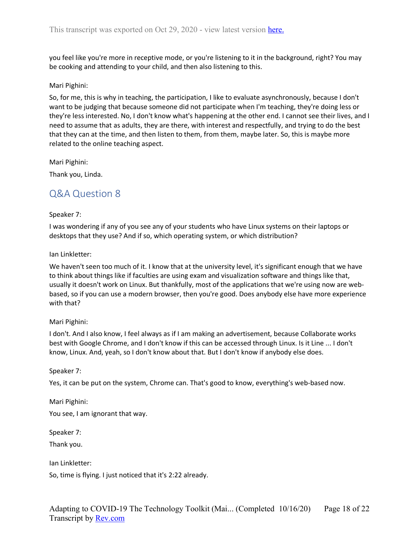you feel like you're more in receptive mode, or you're listening to it in the background, right? You may be cooking and attending to your child, and then also listening to this.

#### Mari Pighini:

So, for me, this is why in teaching, the participation, I like to evaluate asynchronously, because I don't want to be judging that because someone did not participate when I'm teaching, they're doing less or they're less interested. No, I don't know what's happening at the other end. I cannot see their lives, and I need to assume that as adults, they are there, with interest and respectfully, and trying to do the best that they can at the time, and then listen to them, from them, maybe later. So, this is maybe more related to the online teaching aspect.

Mari Pighini:

<span id="page-17-0"></span>Thank you, Linda.

## Q&A Question 8

## Speaker 7:

I was wondering if any of you see any of your students who have Linux systems on their laptops or desktops that they use? And if so, which operating system, or which distribution?

#### Ian Linkletter:

We haven't seen too much of it. I know that at the university level, it's significant enough that we have to think about things like if faculties are using exam and visualization software and things like that, usually it doesn't work on Linux. But thankfully, most of the applications that we're using now are webbased, so if you can use a modern browser, then you're good. Does anybody else have more experience with that?

## Mari Pighini:

I don't. And I also know, I feel always as if I am making an advertisement, because Collaborate works best with Google Chrome, and I don't know if this can be accessed through Linux. Is it Line ... I don't know, Linux. And, yeah, so I don't know about that. But I don't know if anybody else does.

## Speaker 7:

Yes, it can be put on the system, Chrome can. That's good to know, everything's web-based now.

Mari Pighini:

You see, I am ignorant that way.

Speaker 7:

Thank you.

Ian Linkletter:

So, time is flying. I just noticed that it's 2:22 already.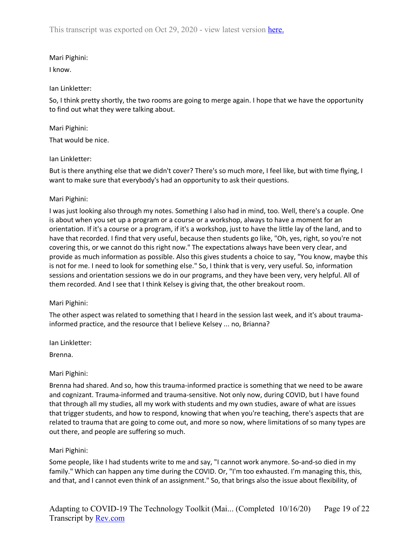This transcript was exported on Oct 29, 2020 - view latest version [here.](https://www.rev.com/transcript-editor/Edit?token=hn1t1yv3wrl4LTVxb8q27_CXJCUqymDsl0S0V-LPu9inEHjP8m4eZttfVq-BG9Lm7D6t1zSezHvHLFor_Z2Y5RfAEag&loadFrom=DocumentHeaderDeepLink)

## Mari Pighini:

I know.

## Ian Linkletter:

So, I think pretty shortly, the two rooms are going to merge again. I hope that we have the opportunity to find out what they were talking about.

## Mari Pighini:

That would be nice.

## Ian Linkletter:

But is there anything else that we didn't cover? There's so much more, I feel like, but with time flying, I want to make sure that everybody's had an opportunity to ask their questions.

## Mari Pighini:

I was just looking also through my notes. Something I also had in mind, too. Well, there's a couple. One is about when you set up a program or a course or a workshop, always to have a moment for an orientation. If it's a course or a program, if it's a workshop, just to have the little lay of the land, and to have that recorded. I find that very useful, because then students go like, "Oh, yes, right, so you're not covering this, or we cannot do this right now." The expectations always have been very clear, and provide as much information as possible. Also this gives students a choice to say, "You know, maybe this is not for me. I need to look for something else." So, I think that is very, very useful. So, information sessions and orientation sessions we do in our programs, and they have been very, very helpful. All of them recorded. And I see that I think Kelsey is giving that, the other breakout room.

## Mari Pighini:

The other aspect was related to something that I heard in the session last week, and it's about traumainformed practice, and the resource that I believe Kelsey ... no, Brianna?

Ian Linkletter:

Brenna.

## Mari Pighini:

Brenna had shared. And so, how this trauma-informed practice is something that we need to be aware and cognizant. Trauma-informed and trauma-sensitive. Not only now, during COVID, but I have found that through all my studies, all my work with students and my own studies, aware of what are issues that trigger students, and how to respond, knowing that when you're teaching, there's aspects that are related to trauma that are going to come out, and more so now, where limitations of so many types are out there, and people are suffering so much.

## Mari Pighini:

Some people, like I had students write to me and say, "I cannot work anymore. So-and-so died in my family." Which can happen any time during the COVID. Or, "I'm too exhausted. I'm managing this, this, and that, and I cannot even think of an assignment." So, that brings also the issue about flexibility, of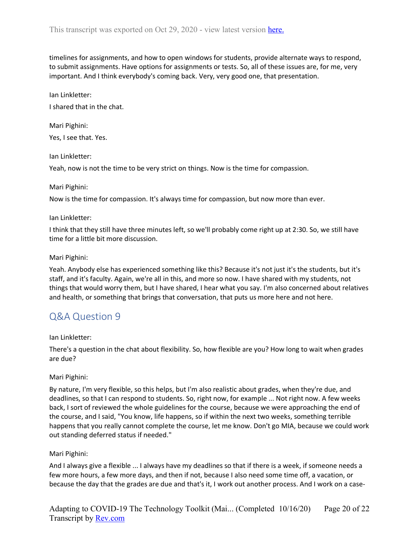timelines for assignments, and how to open windows for students, provide alternate ways to respond, to submit assignments. Have options for assignments or tests. So, all of these issues are, for me, very important. And I think everybody's coming back. Very, very good one, that presentation.

Ian Linkletter:

I shared that in the chat.

Mari Pighini: Yes, I see that. Yes.

Ian Linkletter:

Yeah, now is not the time to be very strict on things. Now is the time for compassion.

#### Mari Pighini:

Now is the time for compassion. It's always time for compassion, but now more than ever.

#### Ian Linkletter:

I think that they still have three minutes left, so we'll probably come right up at 2:30. So, we still have time for a little bit more discussion.

#### Mari Pighini:

Yeah. Anybody else has experienced something like this? Because it's not just it's the students, but it's staff, and it's faculty. Again, we're all in this, and more so now. I have shared with my students, not things that would worry them, but I have shared, I hear what you say. I'm also concerned about relatives and health, or something that brings that conversation, that puts us more here and not here.

## <span id="page-19-0"></span>Q&A Question 9

## Ian Linkletter:

There's a question in the chat about flexibility. So, how flexible are you? How long to wait when grades are due?

## Mari Pighini:

By nature, I'm very flexible, so this helps, but I'm also realistic about grades, when they're due, and deadlines, so that I can respond to students. So, right now, for example ... Not right now. A few weeks back, I sort of reviewed the whole guidelines for the course, because we were approaching the end of the course, and I said, "You know, life happens, so if within the next two weeks, something terrible happens that you really cannot complete the course, let me know. Don't go MIA, because we could work out standing deferred status if needed."

## Mari Pighini:

And I always give a flexible ... I always have my deadlines so that if there is a week, if someone needs a few more hours, a few more days, and then if not, because I also need some time off, a vacation, or because the day that the grades are due and that's it, I work out another process. And I work on a case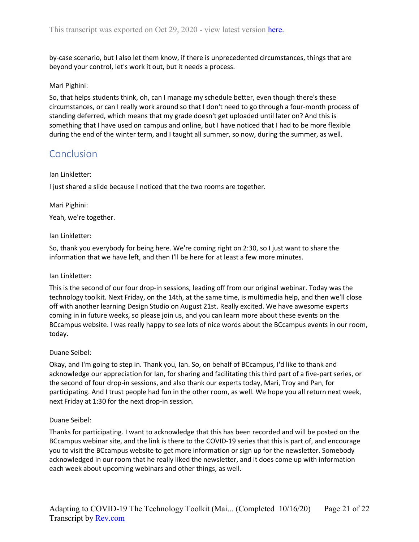by-case scenario, but I also let them know, if there is unprecedented circumstances, things that are beyond your control, let's work it out, but it needs a process.

## Mari Pighini:

So, that helps students think, oh, can I manage my schedule better, even though there's these circumstances, or can I really work around so that I don't need to go through a four-month process of standing deferred, which means that my grade doesn't get uploaded until later on? And this is something that I have used on campus and online, but I have noticed that I had to be more flexible during the end of the winter term, and I taught all summer, so now, during the summer, as well.

## <span id="page-20-0"></span>Conclusion

#### Ian Linkletter:

I just shared a slide because I noticed that the two rooms are together.

## Mari Pighini:

Yeah, we're together.

#### Ian Linkletter:

So, thank you everybody for being here. We're coming right on 2:30, so I just want to share the information that we have left, and then I'll be here for at least a few more minutes.

## Ian Linkletter:

This is the second of our four drop-in sessions, leading off from our original webinar. Today was the technology toolkit. Next Friday, on the 14th, at the same time, is multimedia help, and then we'll close off with another learning Design Studio on August 21st. Really excited. We have awesome experts coming in in future weeks, so please join us, and you can learn more about these events on the BCcampus website. I was really happy to see lots of nice words about the BCcampus events in our room, today.

## Duane Seibel:

Okay, and I'm going to step in. Thank you, Ian. So, on behalf of BCcampus, I'd like to thank and acknowledge our appreciation for Ian, for sharing and facilitating this third part of a five-part series, or the second of four drop-in sessions, and also thank our experts today, Mari, Troy and Pan, for participating. And I trust people had fun in the other room, as well. We hope you all return next week, next Friday at 1:30 for the next drop-in session.

## Duane Seibel:

Thanks for participating. I want to acknowledge that this has been recorded and will be posted on the BCcampus webinar site, and the link is there to the COVID-19 series that this is part of, and encourage you to visit the BCcampus website to get more information or sign up for the newsletter. Somebody acknowledged in our room that he really liked the newsletter, and it does come up with information each week about upcoming webinars and other things, as well.